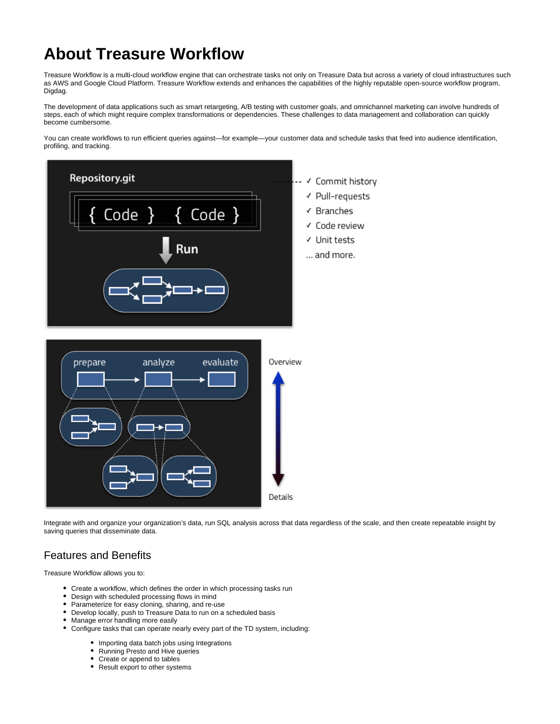# **About Treasure Workflow**

Treasure Workflow is a multi-cloud workflow engine that can orchestrate tasks not only on Treasure Data but across a variety of cloud infrastructures such as AWS and Google Cloud Platform. Treasure Workflow extends and enhances the capabilities of the highly reputable open-source workflow program, Digdag.

The development of data applications such as smart retargeting, A/B testing with customer goals, and omnichannel marketing can involve hundreds of steps, each of which might require complex transformations or dependencies. These challenges to data management and collaboration can quickly become cumbersome.

You can create workflows to run efficient queries against—for example—your customer data and schedule tasks that feed into audience identification, profiling, and tracking.



Integrate with and organize your organization's data, run SQL analysis across that data regardless of the scale, and then create repeatable insight by saving queries that disseminate data.

### Features and Benefits

Treasure Workflow allows you to:

- Create a workflow, which defines the order in which processing tasks run
- Design with scheduled processing flows in mind
- Parameterize for easy cloning, sharing, and re-use
- Develop locally, push to Treasure Data to run on a scheduled basis
- Manage error handling more easily
- Configure tasks that can operate nearly every part of the TD system, including:
	- Importing data batch jobs using Integrations
	- Running Presto and Hive queries
	- Create or append to tables
	- Result export to other systems